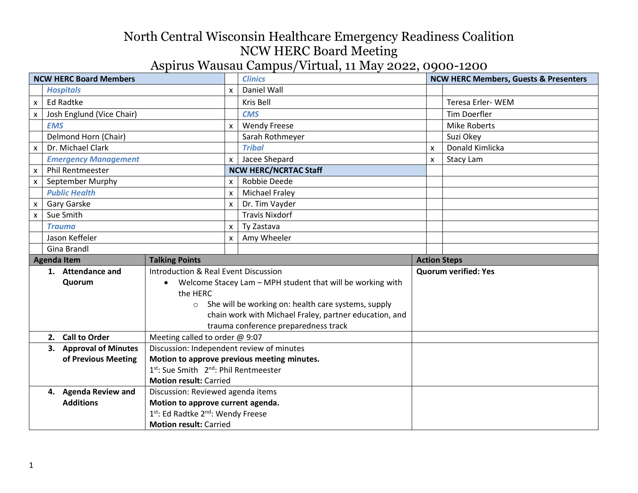| <b>NCW HERC Board Members</b> |                             |                                                                   | <b>Clinics</b> |                                                            | <b>NCW HERC Members, Guests &amp; Presenters</b> |                             |
|-------------------------------|-----------------------------|-------------------------------------------------------------------|----------------|------------------------------------------------------------|--------------------------------------------------|-----------------------------|
|                               | <b>Hospitals</b>            |                                                                   | $\mathsf{x}$   | Daniel Wall                                                |                                                  |                             |
| X.                            | <b>Ed Radtke</b>            |                                                                   |                | Kris Bell                                                  |                                                  | Teresa Erler-WEM            |
|                               | Josh Englund (Vice Chair)   |                                                                   |                | <b>CMS</b>                                                 |                                                  | <b>Tim Doerfler</b>         |
|                               | <b>EMS</b>                  |                                                                   | X              | <b>Wendy Freese</b>                                        |                                                  | <b>Mike Roberts</b>         |
|                               | Delmond Horn (Chair)        |                                                                   |                | Sarah Rothmeyer                                            |                                                  | Suzi Okey                   |
| X                             | Dr. Michael Clark           |                                                                   |                | <b>Tribal</b>                                              | X                                                | Donald Kimlicka             |
|                               | <b>Emergency Management</b> |                                                                   | x              | Jacee Shepard                                              | X                                                | Stacy Lam                   |
| <b>X</b>                      | <b>Phil Rentmeester</b>     |                                                                   |                | <b>NCW HERC/NCRTAC Staff</b>                               |                                                  |                             |
| <b>X</b>                      | September Murphy            |                                                                   | X              | Robbie Deede                                               |                                                  |                             |
|                               | <b>Public Health</b>        |                                                                   | x              | <b>Michael Fraley</b>                                      |                                                  |                             |
| X.                            | Gary Garske                 |                                                                   | X              | Dr. Tim Vayder                                             |                                                  |                             |
| $\mathsf{x}$                  | Sue Smith                   |                                                                   |                | <b>Travis Nixdorf</b>                                      |                                                  |                             |
|                               | <b>Trauma</b>               |                                                                   | X              | Ty Zastava                                                 |                                                  |                             |
|                               | Jason Keffeler              |                                                                   | X              | Amy Wheeler                                                |                                                  |                             |
|                               | Gina Brandl                 |                                                                   |                |                                                            |                                                  |                             |
|                               | <b>Agenda Item</b>          | <b>Talking Points</b>                                             |                |                                                            | <b>Action Steps</b>                              |                             |
|                               | 1. Attendance and           | Introduction & Real Event Discussion                              |                |                                                            |                                                  | <b>Quorum verified: Yes</b> |
|                               | Quorum                      | $\bullet$                                                         |                | Welcome Stacey Lam - MPH student that will be working with |                                                  |                             |
|                               |                             |                                                                   |                |                                                            |                                                  |                             |
|                               |                             | the HERC                                                          |                |                                                            |                                                  |                             |
|                               |                             | $\circ$                                                           |                | She will be working on: health care systems, supply        |                                                  |                             |
|                               |                             |                                                                   |                | chain work with Michael Fraley, partner education, and     |                                                  |                             |
|                               |                             |                                                                   |                | trauma conference preparedness track                       |                                                  |                             |
|                               | 2. Call to Order            | Meeting called to order @ 9:07                                    |                |                                                            |                                                  |                             |
|                               | 3. Approval of Minutes      | Discussion: Independent review of minutes                         |                |                                                            |                                                  |                             |
|                               | of Previous Meeting         |                                                                   |                | Motion to approve previous meeting minutes.                |                                                  |                             |
|                               |                             | 1st: Sue Smith 2 <sup>nd</sup> : Phil Rentmeester                 |                |                                                            |                                                  |                             |
|                               |                             | <b>Motion result: Carried</b>                                     |                |                                                            |                                                  |                             |
|                               | 4. Agenda Review and        | Discussion: Reviewed agenda items                                 |                |                                                            |                                                  |                             |
|                               | <b>Additions</b>            | Motion to approve current agenda.                                 |                |                                                            |                                                  |                             |
|                               |                             | 1st: Ed Radtke 2nd: Wendy Freese<br><b>Motion result: Carried</b> |                |                                                            |                                                  |                             |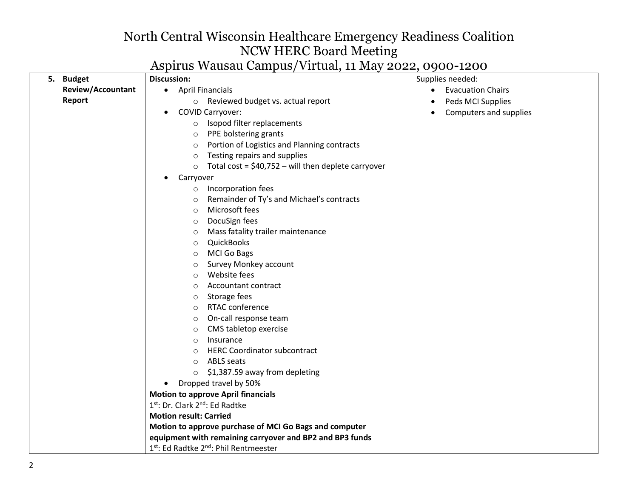|                          | $1.00$ and $1.000$ and $1.000$ and $1.000$ and $1.000$ and $1.000$ |                                       |
|--------------------------|--------------------------------------------------------------------|---------------------------------------|
| 5. Budget                | <b>Discussion:</b>                                                 | Supplies needed:                      |
| <b>Review/Accountant</b> | • April Financials                                                 | <b>Evacuation Chairs</b><br>$\bullet$ |
| Report                   | o Reviewed budget vs. actual report                                | Peds MCI Supplies<br>$\bullet$        |
|                          | <b>COVID Carryover:</b><br>$\bullet$                               | Computers and supplies<br>$\bullet$   |
|                          | Isopod filter replacements<br>$\circ$                              |                                       |
|                          | PPE bolstering grants<br>$\circ$                                   |                                       |
|                          | Portion of Logistics and Planning contracts<br>$\circ$             |                                       |
|                          | Testing repairs and supplies<br>$\circ$                            |                                       |
|                          | Total cost = $$40,752 -$ will then deplete carryover<br>$\circ$    |                                       |
|                          | Carryover<br>$\bullet$                                             |                                       |
|                          | Incorporation fees<br>$\circ$                                      |                                       |
|                          | Remainder of Ty's and Michael's contracts<br>$\circ$               |                                       |
|                          | Microsoft fees<br>$\circ$                                          |                                       |
|                          | DocuSign fees<br>$\circ$                                           |                                       |
|                          | Mass fatality trailer maintenance<br>$\circ$                       |                                       |
|                          | QuickBooks<br>$\circ$                                              |                                       |
|                          | <b>MCI Go Bags</b><br>$\circ$                                      |                                       |
|                          | Survey Monkey account<br>$\circ$                                   |                                       |
|                          | Website fees<br>$\circ$                                            |                                       |
|                          | Accountant contract<br>$\circ$                                     |                                       |
|                          | Storage fees<br>$\circ$                                            |                                       |
|                          | RTAC conference<br>$\circ$                                         |                                       |
|                          | On-call response team<br>$\circ$                                   |                                       |
|                          | CMS tabletop exercise<br>$\circ$                                   |                                       |
|                          | Insurance<br>$\circ$                                               |                                       |
|                          | <b>HERC Coordinator subcontract</b><br>$\circ$                     |                                       |
|                          | <b>ABLS</b> seats<br>$\circ$                                       |                                       |
|                          | \$1,387.59 away from depleting<br>$\circ$                          |                                       |
|                          | Dropped travel by 50%<br>$\bullet$                                 |                                       |
|                          | <b>Motion to approve April financials</b>                          |                                       |
|                          | 1st: Dr. Clark 2nd: Ed Radtke                                      |                                       |
|                          | <b>Motion result: Carried</b>                                      |                                       |
|                          | Motion to approve purchase of MCI Go Bags and computer             |                                       |
|                          | equipment with remaining carryover and BP2 and BP3 funds           |                                       |
|                          | 1st: Ed Radtke 2 <sup>nd</sup> : Phil Rentmeester                  |                                       |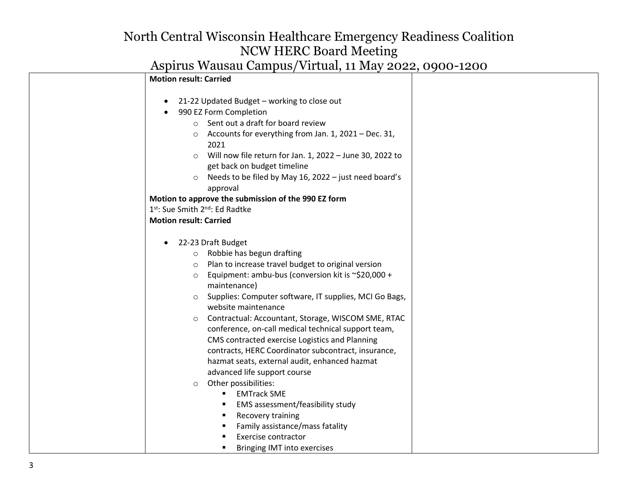| <b>Motion result: Carried</b>                                                                                                                                                                                                                                                                                                                                                                                                                                                                                                                                                                                                                                                       |
|-------------------------------------------------------------------------------------------------------------------------------------------------------------------------------------------------------------------------------------------------------------------------------------------------------------------------------------------------------------------------------------------------------------------------------------------------------------------------------------------------------------------------------------------------------------------------------------------------------------------------------------------------------------------------------------|
| 21-22 Updated Budget - working to close out<br>$\bullet$<br>990 EZ Form Completion<br>$\bullet$<br>Sent out a draft for board review<br>$\circ$<br>Accounts for everything from Jan. 1, 2021 - Dec. 31,<br>$\circ$<br>2021<br>Will now file return for Jan. 1, 2022 - June 30, 2022 to<br>$\circ$<br>get back on budget timeline<br>Needs to be filed by May 16, 2022 - just need board's<br>$\circ$<br>approval<br>Motion to approve the submission of the 990 EZ form<br>1st: Sue Smith 2nd: Ed Radtke                                                                                                                                                                            |
| <b>Motion result: Carried</b>                                                                                                                                                                                                                                                                                                                                                                                                                                                                                                                                                                                                                                                       |
| 22-23 Draft Budget<br>$\bullet$<br>Robbie has begun drafting<br>$\circ$<br>Plan to increase travel budget to original version<br>$\circ$<br>Equipment: ambu-bus (conversion kit is $\approx$ \$20,000 +<br>$\circ$<br>maintenance)<br>Supplies: Computer software, IT supplies, MCI Go Bags,<br>$\circ$<br>website maintenance<br>Contractual: Accountant, Storage, WISCOM SME, RTAC<br>$\circ$<br>conference, on-call medical technical support team,<br>CMS contracted exercise Logistics and Planning<br>contracts, HERC Coordinator subcontract, insurance,<br>hazmat seats, external audit, enhanced hazmat<br>advanced life support course<br>Other possibilities:<br>$\circ$ |
| <b>EMTrack SME</b><br>$\blacksquare$<br>EMS assessment/feasibility study<br>٠<br>Recovery training<br>٠<br>Family assistance/mass fatality<br>$\blacksquare$<br>Exercise contractor<br>Bringing IMT into exercises                                                                                                                                                                                                                                                                                                                                                                                                                                                                  |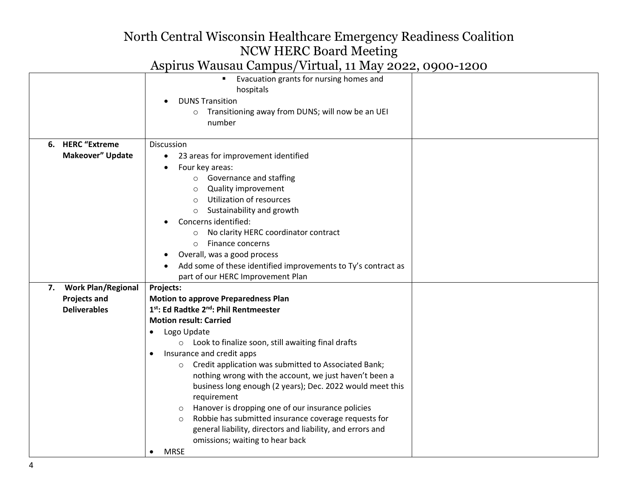|                         | Evacuation grants for nursing homes and<br>$\blacksquare$       |  |
|-------------------------|-----------------------------------------------------------------|--|
|                         | hospitals                                                       |  |
|                         | <b>DUNS Transition</b>                                          |  |
|                         | Transitioning away from DUNS; will now be an UEI<br>$\circ$     |  |
|                         | number                                                          |  |
| 6. HERC "Extreme        | Discussion                                                      |  |
| <b>Makeover" Update</b> | 23 areas for improvement identified<br>٠                        |  |
|                         | Four key areas:                                                 |  |
|                         | Governance and staffing                                         |  |
|                         | Quality improvement                                             |  |
|                         | <b>Utilization of resources</b><br>$\circ$                      |  |
|                         | Sustainability and growth<br>$\circ$                            |  |
|                         | Concerns identified:                                            |  |
|                         | No clarity HERC coordinator contract<br>$\circ$                 |  |
|                         | Finance concerns<br>$\circ$                                     |  |
|                         | Overall, was a good process                                     |  |
|                         | Add some of these identified improvements to Ty's contract as   |  |
|                         | part of our HERC Improvement Plan                               |  |
| 7. Work Plan/Regional   | Projects:                                                       |  |
| <b>Projects and</b>     | <b>Motion to approve Preparedness Plan</b>                      |  |
| <b>Deliverables</b>     | 1st: Ed Radtke 2 <sup>nd</sup> : Phil Rentmeester               |  |
|                         | <b>Motion result: Carried</b>                                   |  |
|                         | Logo Update                                                     |  |
|                         | o Look to finalize soon, still awaiting final drafts            |  |
|                         | Insurance and credit apps                                       |  |
|                         | Credit application was submitted to Associated Bank;<br>$\circ$ |  |
|                         | nothing wrong with the account, we just haven't been a          |  |
|                         | business long enough (2 years); Dec. 2022 would meet this       |  |
|                         | requirement                                                     |  |
|                         | Hanover is dropping one of our insurance policies<br>$\circ$    |  |
|                         | Robbie has submitted insurance coverage requests for<br>$\circ$ |  |
|                         | general liability, directors and liability, and errors and      |  |
|                         | omissions; waiting to hear back                                 |  |
|                         | <b>MRSE</b>                                                     |  |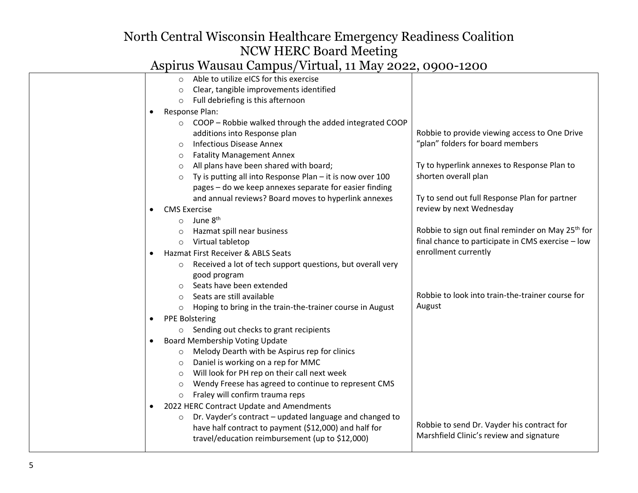| Able to utilize eICS for this exercise                                |                                                               |
|-----------------------------------------------------------------------|---------------------------------------------------------------|
| Clear, tangible improvements identified<br>$\circ$                    |                                                               |
| Full debriefing is this afternoon<br>$\circ$                          |                                                               |
| Response Plan:<br>$\bullet$                                           |                                                               |
| COOP - Robbie walked through the added integrated COOP                |                                                               |
| additions into Response plan                                          | Robbie to provide viewing access to One Drive                 |
| <b>Infectious Disease Annex</b><br>$\circ$                            | "plan" folders for board members                              |
| <b>Fatality Management Annex</b><br>$\circ$                           |                                                               |
| All plans have been shared with board;<br>$\circ$                     | Ty to hyperlink annexes to Response Plan to                   |
| Ty is putting all into Response Plan - it is now over 100<br>$\circ$  | shorten overall plan                                          |
| pages - do we keep annexes separate for easier finding                |                                                               |
| and annual reviews? Board moves to hyperlink annexes                  | Ty to send out full Response Plan for partner                 |
| <b>CMS Exercise</b>                                                   | review by next Wednesday                                      |
| June 8 <sup>th</sup><br>$\circ$                                       |                                                               |
| Hazmat spill near business                                            | Robbie to sign out final reminder on May 25 <sup>th</sup> for |
| Virtual tabletop<br>$\circ$                                           | final chance to participate in CMS exercise - low             |
| Hazmat First Receiver & ABLS Seats<br>$\bullet$                       | enrollment currently                                          |
| Received a lot of tech support questions, but overall very<br>$\circ$ |                                                               |
| good program                                                          |                                                               |
| Seats have been extended                                              |                                                               |
| Seats are still available                                             | Robbie to look into train-the-trainer course for              |
| Hoping to bring in the train-the-trainer course in August<br>$\circ$  | August                                                        |
| <b>PPE Bolstering</b><br>$\bullet$                                    |                                                               |
| o Sending out checks to grant recipients                              |                                                               |
| <b>Board Membership Voting Update</b><br>$\bullet$                    |                                                               |
| Melody Dearth with be Aspirus rep for clinics<br>$\circ$              |                                                               |
| Daniel is working on a rep for MMC<br>$\circ$                         |                                                               |
| Will look for PH rep on their call next week<br>$\circ$               |                                                               |
| Wendy Freese has agreed to continue to represent CMS<br>$\circ$       |                                                               |
| Fraley will confirm trauma reps<br>$\circ$                            |                                                               |
| 2022 HERC Contract Update and Amendments<br>$\bullet$                 |                                                               |
| Dr. Vayder's contract - updated language and changed to<br>$\circ$    |                                                               |
| have half contract to payment (\$12,000) and half for                 | Robbie to send Dr. Vayder his contract for                    |
| travel/education reimbursement (up to \$12,000)                       | Marshfield Clinic's review and signature                      |
|                                                                       |                                                               |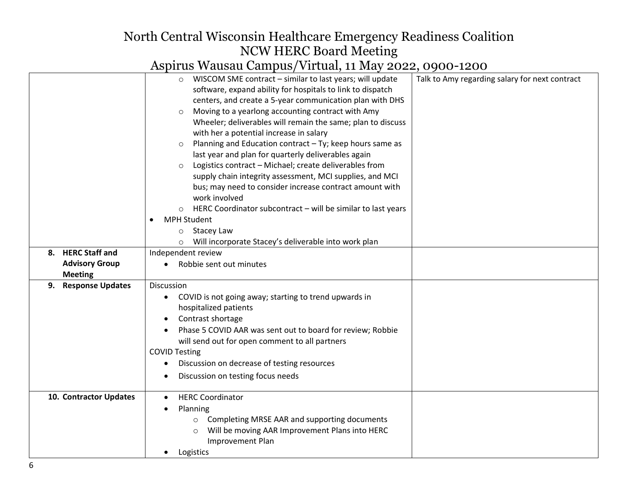| 8. HERC Staff and<br><b>Advisory Group</b>      | WISCOM SME contract - similar to last years; will update<br>$\circ$<br>software, expand ability for hospitals to link to dispatch<br>centers, and create a 5-year communication plan with DHS<br>Moving to a yearlong accounting contract with Amy<br>$\circ$<br>Wheeler; deliverables will remain the same; plan to discuss<br>with her a potential increase in salary<br>Planning and Education contract - Ty; keep hours same as<br>$\circ$<br>last year and plan for quarterly deliverables again<br>Logistics contract - Michael; create deliverables from<br>$\circ$<br>supply chain integrity assessment, MCI supplies, and MCI<br>bus; may need to consider increase contract amount with<br>work involved<br>HERC Coordinator subcontract - will be similar to last years<br><b>MPH Student</b><br>o Stacey Law<br>o Will incorporate Stacey's deliverable into work plan<br>Independent review<br>Robbie sent out minutes | Talk to Amy regarding salary for next contract |
|-------------------------------------------------|-------------------------------------------------------------------------------------------------------------------------------------------------------------------------------------------------------------------------------------------------------------------------------------------------------------------------------------------------------------------------------------------------------------------------------------------------------------------------------------------------------------------------------------------------------------------------------------------------------------------------------------------------------------------------------------------------------------------------------------------------------------------------------------------------------------------------------------------------------------------------------------------------------------------------------------|------------------------------------------------|
| <b>Meeting</b><br><b>Response Updates</b><br>9. | <b>Discussion</b><br>COVID is not going away; starting to trend upwards in<br>$\bullet$<br>hospitalized patients<br>Contrast shortage<br>Phase 5 COVID AAR was sent out to board for review; Robbie<br>will send out for open comment to all partners<br><b>COVID Testing</b><br>Discussion on decrease of testing resources<br>Discussion on testing focus needs                                                                                                                                                                                                                                                                                                                                                                                                                                                                                                                                                                   |                                                |
| 10. Contractor Updates                          | <b>HERC Coordinator</b><br>Planning<br>Completing MRSE AAR and supporting documents<br>$\circ$<br>Will be moving AAR Improvement Plans into HERC<br>$\circ$<br>Improvement Plan<br>Logistics                                                                                                                                                                                                                                                                                                                                                                                                                                                                                                                                                                                                                                                                                                                                        |                                                |